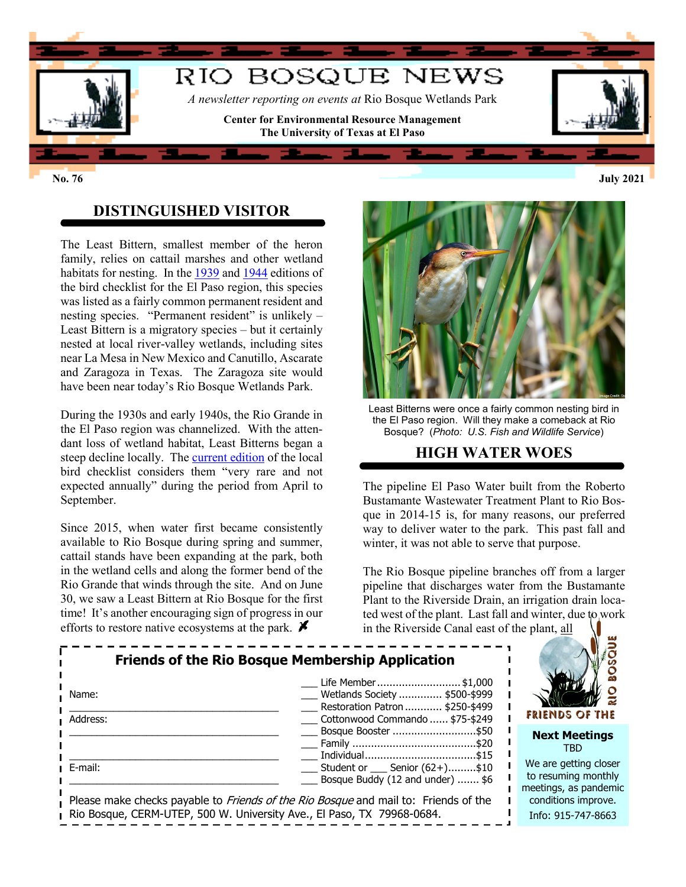

## **DISTINGUISHED VISITOR**

The Least Bittern, smallest member of the heron family, relies on cattail marshes and other wetland habitats for nesting. In th[e 1939](http://nebula.wsimg.com/1d34a371f2aba3d2fe223ad34f12faa0?AccessKeyId=685547B71D6D76B275D9&disposition=0&alloworigin=1) and [1944](http://nebula.wsimg.com/7fd179dbf346075170b0e896da443a45?AccessKeyId=685547B71D6D76B275D9&disposition=0&alloworigin=1) editions of the bird checklist for the El Paso region, this species was listed as a fairly common permanent resident and nesting species. "Permanent resident" is unlikely – Least Bittern is a migratory species – but it certainly nested at local river-valley wetlands, including sites near La Mesa in New Mexico and Canutillo, Ascarate and Zaragoza in Texas. The Zaragoza site would have been near today's Rio Bosque Wetlands Park.

During the 1930s and early 1940s, the Rio Grande in the El Paso region was channelized. With the attendant loss of wetland habitat, Least Bitterns began a steep decline locally. The [current edition](http://nebula.wsimg.com/276ed9a9f3c757be764d1df19e3c3e8a?AccessKeyId=685547B71D6D76B275D9&disposition=0&alloworigin=1) of the local bird checklist considers them "very rare and not expected annually" during the period from April to September.

Since 2015, when water first became consistently available to Rio Bosque during spring and summer, cattail stands have been expanding at the park, both in the wetland cells and along the former bend of the Rio Grande that winds through the site. And on June 30, we saw a Least Bittern at Rio Bosque for the first time! It's another encouraging sign of progress in our efforts to restore native ecosystems at the park.  $\blacktriangleright$ 



Least Bitterns were once a fairly common nesting bird in the El Paso region. Will they make a comeback at Rio Bosque? (*Photo: U.S. Fish and Wildlife Service*)

## **HIGH WATER WOES**

The pipeline El Paso Water built from the Roberto Bustamante Wastewater Treatment Plant to Rio Bosque in 2014-15 is, for many reasons, our preferred way to deliver water to the park. This past fall and winter, it was not able to serve that purpose.

The Rio Bosque pipeline branches off from a larger pipeline that discharges water from the Bustamante Plant to the Riverside Drain, an irrigation drain located west of the plant. Last fall and winter, due to work in the Riverside Canal east of the plant, all

**RIO BOSQUE** 

| <b>Friends of the Rio Bosque Membership Application</b><br>Name:<br>Address:                                                                                         | FRIENDS OF THE                                                                              |                                                                       |
|----------------------------------------------------------------------------------------------------------------------------------------------------------------------|---------------------------------------------------------------------------------------------|-----------------------------------------------------------------------|
|                                                                                                                                                                      | Cottonwood Commando  \$75-\$249<br>Bosque Booster \$50                                      | <b>Next Meetings</b><br>TBD.                                          |
| E-mail:                                                                                                                                                              | $\frac{1}{2}$ Student or $\frac{1}{2}$ Senior (62+)\$10<br>Bosque Buddy (12 and under)  \$6 | We are getting closer<br>to resuming monthly<br>meetings, as pandemic |
| Please make checks payable to <i>Friends of the Rio Bosque</i> and mail to: Friends of the<br>Rio Bosque, CERM-UTEP, 500 W. University Ave., El Paso, TX 79968-0684. |                                                                                             | conditions improve.<br>Info: 915-747-8663                             |